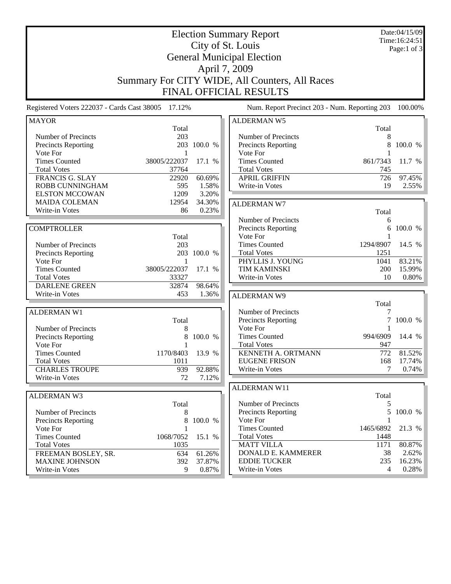Election Summary Report City of St. Louis General Municipal Election April 7, 2009 Summary For CITY WIDE, All Counters, All Races Date:04/15/09 Time:16:24:51 Page:1 of 3

FINAL OFFICIAL RESULTS

Registered Voters 222037 - Cards Cast 38005 17.12% Num. Report Precinct 203 - Num. Reporting 203 100.00%

| <b>MAYOR</b>               |              |             | <b>ALDERMAN W5</b>         |                  |         |
|----------------------------|--------------|-------------|----------------------------|------------------|---------|
|                            | Total        |             |                            | Total            |         |
| Number of Precincts        | 203          |             | Number of Precincts        | 8                |         |
| <b>Precincts Reporting</b> |              | 203 100.0 % | Precincts Reporting        | 8                | 100.0 % |
| Vote For                   | 1            |             | Vote For                   | 1                |         |
| <b>Times Counted</b>       | 38005/222037 | 17.1 %      | <b>Times Counted</b>       | 861/7343         | 11.7 %  |
| <b>Total Votes</b>         | 37764        |             | <b>Total Votes</b>         | 745              |         |
| FRANCIS G. SLAY            | 22920        | 60.69%      | <b>APRIL GRIFFIN</b>       | 726              | 97.45%  |
| ROBB CUNNINGHAM            | 595          | 1.58%       | Write-in Votes             | 19               | 2.55%   |
| <b>ELSTON MCCOWAN</b>      | 1209         | 3.20%       |                            |                  |         |
| <b>MAIDA COLEMAN</b>       | 12954        | 34.30%      | <b>ALDERMAN W7</b>         |                  |         |
| Write-in Votes             | 86           | 0.23%       |                            | Total            |         |
|                            |              |             | Number of Precincts        | 6                |         |
| <b>COMPTROLLER</b>         |              |             | <b>Precincts Reporting</b> | 6                | 100.0 % |
|                            | Total        |             | Vote For                   | 1                |         |
| Number of Precincts        | 203          |             | <b>Times Counted</b>       | 1294/8907        | 14.5 %  |
| <b>Precincts Reporting</b> |              | 203 100.0 % | <b>Total Votes</b>         | 1251             |         |
| Vote For                   | 1            |             | PHYLLIS J. YOUNG           | 1041             | 83.21%  |
| <b>Times Counted</b>       | 38005/222037 | 17.1 %      | <b>TIM KAMINSKI</b>        | 200              | 15.99%  |
| <b>Total Votes</b>         | 33327        |             | Write-in Votes             | 10               | 0.80%   |
| <b>DARLENE GREEN</b>       | 32874        | 98.64%      |                            |                  |         |
| Write-in Votes             | 453          | 1.36%       | <b>ALDERMAN W9</b>         |                  |         |
|                            |              |             |                            | Total            |         |
| <b>ALDERMAN W1</b>         |              |             | Number of Precincts        | 7                |         |
|                            | Total        |             | <b>Precincts Reporting</b> | 7                | 100.0 % |
| Number of Precincts        | 8            |             | Vote For                   | 1                |         |
| <b>Precincts Reporting</b> | 8            | 100.0 %     | <b>Times Counted</b>       | 994/6909         | 14.4 %  |
| Vote For                   | 1            |             | <b>Total Votes</b>         | 947              |         |
| <b>Times Counted</b>       | 1170/8403    | 13.9 %      | <b>KENNETH A. ORTMANN</b>  | $\overline{772}$ | 81.52%  |
| <b>Total Votes</b>         | 1011         |             | <b>EUGENE FRISON</b>       | 168              | 17.74%  |
| <b>CHARLES TROUPE</b>      | 939          | 92.88%      | Write-in Votes             | 7                | 0.74%   |
| Write-in Votes             | 72           | 7.12%       |                            |                  |         |
|                            |              |             | <b>ALDERMAN W11</b>        |                  |         |
| <b>ALDERMAN W3</b>         |              |             |                            | Total            |         |
|                            | Total        |             | Number of Precincts        | 5                |         |
| Number of Precincts        | 8            |             | <b>Precincts Reporting</b> | 5                | 100.0 % |
| <b>Precincts Reporting</b> | 8            | 100.0 %     | Vote For                   | 1                |         |
| Vote For                   | $\mathbf{1}$ |             | <b>Times Counted</b>       | 1465/6892        | 21.3 %  |
| <b>Times Counted</b>       | 1068/7052    | 15.1 %      | <b>Total Votes</b>         | 1448             |         |
| <b>Total Votes</b>         | 1035         |             | <b>MATT VILLA</b>          | 1171             | 80.87%  |
| FREEMAN BOSLEY, SR.        | 634          | 61.26%      | DONALD E. KAMMERER         | 38               | 2.62%   |
| <b>MAXINE JOHNSON</b>      | 392          | 37.87%      | <b>EDDIE TUCKER</b>        | 235              | 16.23%  |
| Write-in Votes             | 9            | 0.87%       | Write-in Votes             | $\overline{4}$   | 0.28%   |
|                            |              |             |                            |                  |         |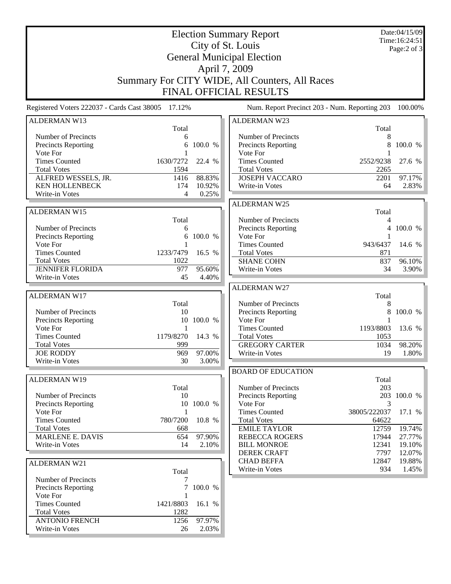Election Summary Report City of St. Louis General Municipal Election April 7, 2009 Summary For CITY WIDE, All Counters, All Races FINAL OFFICIAL RESULTS Date:04/15/09 Time:16:24:51 Page:2 of 3

Registered Voters 222037 - Cards Cast 38005 17.12% Num. Report Precinct 203 - Num. Reporting 203 100.00% ALDERMAN W13 Total Number of Precincts<br>
Precincts Reporting<br>
6 100.0 % Precincts Reporting Vote For 1 Times Counted 1630/7272 22.4 % Total Votes 1594 ALFRED WESSELS, JR. 1416 88.83% KEN HOLLENBECK 174 10.92%<br>Write-in Votes 4 0.25% Write-in Votes ALDERMAN W15 Total Number of Precincts 6 Precincts Reporting 6 100.0 % Vote For 1<br>Times Counted 1233/7479 1233/7479 16.5 % Total Votes 1022 JENNIFER FLORIDA 977 95.60% Write-in Votes 45 4.40% ALDERMAN W17 Total Number of Precincts 10<br>Precincts Reporting 10 100.0 % Precincts Reporting Vote For 1 Times Counted 1179/8270 14.3 % Total Votes 999 JOE RODDY 969 97.00%<br>Write-in Votes 30 3.00% Write-in Votes ALDERMAN W19 Total Number of Precincts 10 Precincts Reporting 10 100.0 % Vote For 1 Times Counted 780/7200 10.8 % Total Votes 668 MARLENE E. DAVIS 654 97.90% Write-in Votes 14 2.10% ALDERMAN W21 Total Number of Precincts<br>
Precincts Reporting<br>
7 100.0 % ALDERMAN W23 Total Number of Precincts<br>
Precincts Reporting<br>
8 100.0 % Precincts Reporting Vote For 1 Times Counted 2552/9238 27.6 % Total Votes 2265 JOSEPH VACCARO 2201 97.17% Write-in Votes 64 2.83% ALDERMAN W25 Total Number of Precincts<br>
Precincts Reporting
and the Contract of A 100.0 % Precincts Reporting Vote For 1<br>Times Counted 1943/6437 Times Counted 943/6437 14.6 % Total Votes 871 SHANE COHN 837 96.10% Write-in Votes 34 3.90% ALDERMAN W27 Total Number of Precincts 8 Precincts Reporting 8 100.0 %<br>Vote For 1 Vote For 1<br>Times Counted 1193/8803 Times Counted 1193/8803 13.6 % Total Votes 1053 GREGORY CARTER 1034 98.20% Write-in Votes 19 1.80% BOARD OF EDUCATION Total Number of Precincts 203 Precincts Reporting 203 100.0 % Vote For 3<br>Times Counted 38005/222037 Times Counted 38005/222037 17.1 % Total Votes 64622 EMILE TAYLOR 12759 19.74% REBECCA ROGERS 17944 27.77% BILL MONROE 12341 19.10% DEREK CRAFT 7797 12.07% CHAD BEFFA 12847 19.88% Write-in Votes 934 1.45%

Precincts Reporting

Write-in Votes

Vote For 1

Total Votes 1282

Times Counted 1421/8803 16.1 %

ANTONIO FRENCH 1256 97.97%<br>Write-in Votes 26 2.03%